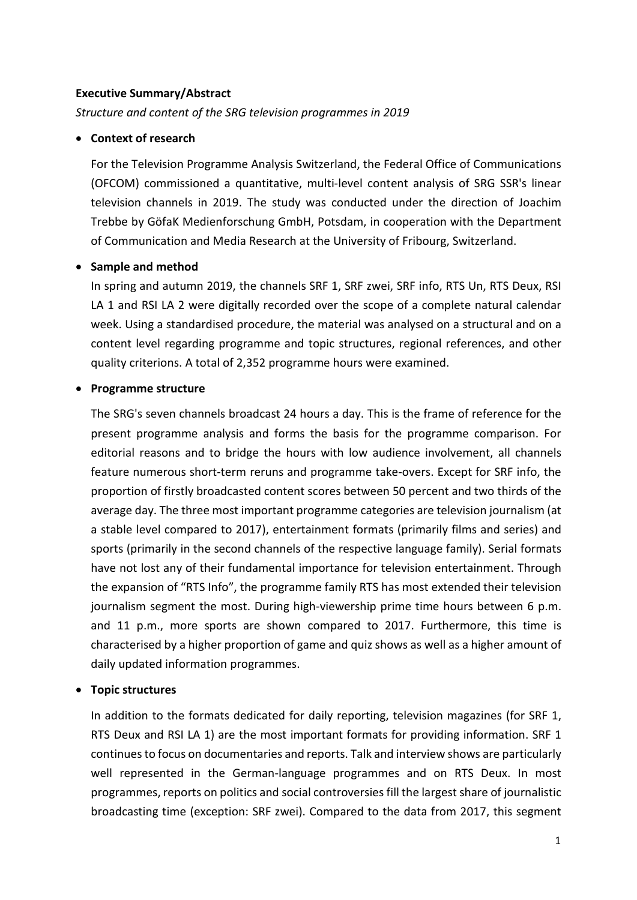### **Executive Summary/Abstract**

*Structure and content of the SRG television programmes in 2019*

#### • **Context of research**

For the Television Programme Analysis Switzerland, the Federal Office of Communications (OFCOM) commissioned a quantitative, multi-level content analysis of SRG SSR's linear television channels in 2019. The study was conducted under the direction of Joachim Trebbe by GöfaK Medienforschung GmbH, Potsdam, in cooperation with the Department of Communication and Media Research at the University of Fribourg, Switzerland.

# • **Sample and method**

In spring and autumn 2019, the channels SRF 1, SRF zwei, SRF info, RTS Un, RTS Deux, RSI LA 1 and RSI LA 2 were digitally recorded over the scope of a complete natural calendar week. Using a standardised procedure, the material was analysed on a structural and on a content level regarding programme and topic structures, regional references, and other quality criterions. A total of 2,352 programme hours were examined.

#### • **Programme structure**

The SRG's seven channels broadcast 24 hours a day. This is the frame of reference for the present programme analysis and forms the basis for the programme comparison. For editorial reasons and to bridge the hours with low audience involvement, all channels feature numerous short-term reruns and programme take-overs. Except for SRF info, the proportion of firstly broadcasted content scores between 50 percent and two thirds of the average day. The three most important programme categories are television journalism (at a stable level compared to 2017), entertainment formats (primarily films and series) and sports (primarily in the second channels of the respective language family). Serial formats have not lost any of their fundamental importance for television entertainment. Through the expansion of "RTS Info", the programme family RTS has most extended their television journalism segment the most. During high-viewership prime time hours between 6 p.m. and 11 p.m., more sports are shown compared to 2017. Furthermore, this time is characterised by a higher proportion of game and quiz shows as well as a higher amount of daily updated information programmes.

# • **Topic structures**

In addition to the formats dedicated for daily reporting, television magazines (for SRF 1, RTS Deux and RSI LA 1) are the most important formats for providing information. SRF 1 continues to focus on documentaries and reports. Talk and interview shows are particularly well represented in the German-language programmes and on RTS Deux. In most programmes, reports on politics and social controversies fill the largest share of journalistic broadcasting time (exception: SRF zwei). Compared to the data from 2017, this segment